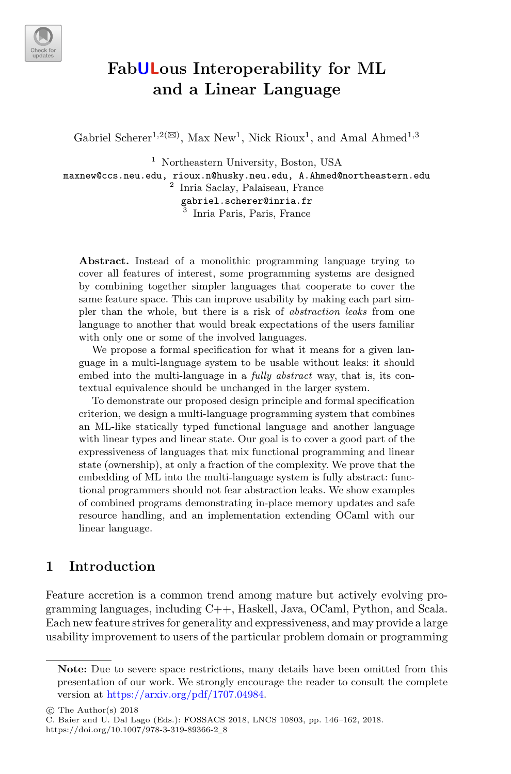

# **FabULous Interoperability for ML and a Linear Language**

Gabriel Scherer<sup>1,2( $\boxtimes$ )</sup>, Max New<sup>1</sup>, Nick Rioux<sup>1</sup>, and Amal Ahmed<sup>1,3</sup>

<sup>1</sup> Northeastern University, Boston, USA maxnew@ccs.neu.edu, rioux.n@husky.neu.edu, A.Ahmed@northeastern.edu <sup>2</sup> Inria Saclay, Palaiseau, France gabriel.scherer@inria.fr <sup>3</sup> Inria Paris, Paris, France

**Abstract.** Instead of a monolithic programming language trying to cover all features of interest, some programming systems are designed by combining together simpler languages that cooperate to cover the same feature space. This can improve usability by making each part simpler than the whole, but there is a risk of *abstraction leaks* from one language to another that would break expectations of the users familiar with only one or some of the involved languages.

We propose a formal specification for what it means for a given language in a multi-language system to be usable without leaks: it should embed into the multi-language in a *fully abstract* way, that is, its contextual equivalence should be unchanged in the larger system.

To demonstrate our proposed design principle and formal specification criterion, we design a multi-language programming system that combines an ML-like statically typed functional language and another language with linear types and linear state. Our goal is to cover a good part of the expressiveness of languages that mix functional programming and linear state (ownership), at only a fraction of the complexity. We prove that the embedding of ML into the multi-language system is fully abstract: functional programmers should not fear abstraction leaks. We show examples of combined programs demonstrating in-place memory updates and safe resource handling, and an implementation extending OCaml with our linear language.

## **1 Introduction**

Feature accretion is a common trend among mature but actively evolving programming languages, including C++, Haskell, Java, OCaml, Python, and Scala. Each new feature strives for generality and expressiveness, and may provide a large usability improvement to users of the particular problem domain or programming

**Note:** Due to severe space restrictions, many details have been omitted from this presentation of our work. We strongly encourage the reader to consult the complete version at [https://arxiv.org/pdf/1707.04984.](https://arxiv.org/pdf/1707.04984)

 $\circ$  The Author(s) 2018

C. Baier and U. Dal Lago (Eds.): FOSSACS 2018, LNCS 10803, pp. 146–162, 2018. https://doi.org/10.1007/978-3-319-89366-2\_8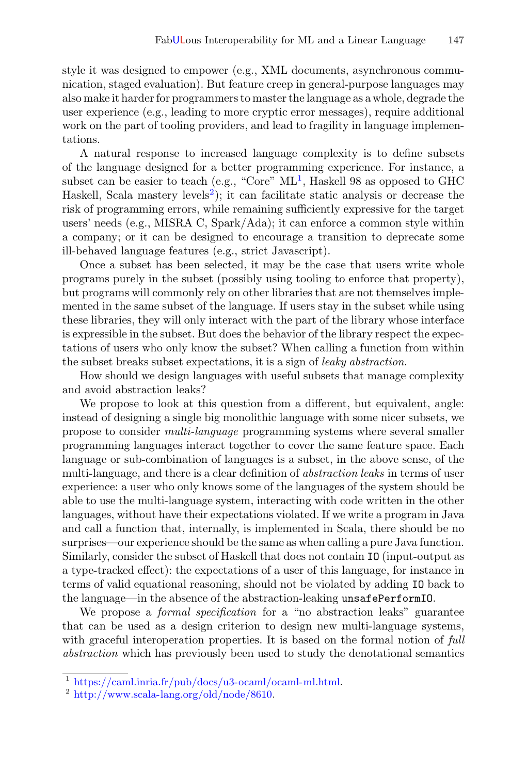style it was designed to empower (e.g., XML documents, asynchronous communication, staged evaluation). But feature creep in general-purpose languages may also make it harder for programmers to master the language as a whole, degrade the user experience (e.g., leading to more cryptic error messages), require additional work on the part of tooling providers, and lead to fragility in language implementations.

A natural response to increased language complexity is to define subsets of the language designed for a better programming experience. For instance, a subset can be easier to teach (e.g., "Core"  $ML<sup>1</sup>$  $ML<sup>1</sup>$  $ML<sup>1</sup>$ , Haskell 98 as opposed to GHC Haskell, Scala mastery levels<sup>[2](#page-1-1)</sup>); it can facilitate static analysis or decrease the risk of programming errors, while remaining sufficiently expressive for the target users' needs (e.g., MISRA C, Spark/Ada); it can enforce a common style within a company; or it can be designed to encourage a transition to deprecate some ill-behaved language features (e.g., strict Javascript).

Once a subset has been selected, it may be the case that users write whole programs purely in the subset (possibly using tooling to enforce that property), but programs will commonly rely on other libraries that are not themselves implemented in the same subset of the language. If users stay in the subset while using these libraries, they will only interact with the part of the library whose interface is expressible in the subset. But does the behavior of the library respect the expectations of users who only know the subset? When calling a function from within the subset breaks subset expectations, it is a sign of *leaky abstraction*.

How should we design languages with useful subsets that manage complexity and avoid abstraction leaks?

We propose to look at this question from a different, but equivalent, angle: instead of designing a single big monolithic language with some nicer subsets, we propose to consider *multi-language* programming systems where several smaller programming languages interact together to cover the same feature space. Each language or sub-combination of languages is a subset, in the above sense, of the multi-language, and there is a clear definition of *abstraction leaks* in terms of user experience: a user who only knows some of the languages of the system should be able to use the multi-language system, interacting with code written in the other languages, without have their expectations violated. If we write a program in Java and call a function that, internally, is implemented in Scala, there should be no surprises—our experience should be the same as when calling a pure Java function. Similarly, consider the subset of Haskell that does not contain IO (input-output as a type-tracked effect): the expectations of a user of this language, for instance in terms of valid equational reasoning, should not be violated by adding IO back to the language—in the absence of the abstraction-leaking unsafePerformIO.

We propose a *formal specification* for a "no abstraction leaks" guarantee that can be used as a design criterion to design new multi-language systems, with graceful interoperation properties. It is based on the formal notion of *full abstraction* which has previously been used to study the denotational semantics

<sup>1</sup> [https://caml.inria.fr/pub/docs/u3-ocaml/ocaml-ml.html.](https://caml.inria.fr/pub/docs/u3-ocaml/ocaml-ml.html)

<span id="page-1-1"></span><span id="page-1-0"></span> $^{2}$  [http://www.scala-lang.org/old/node/8610.](http://www.scala-lang.org/old/node/8610)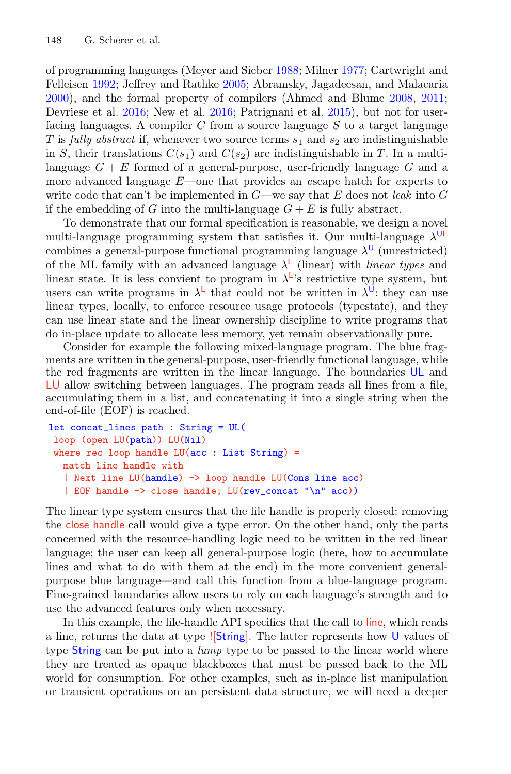of programming languages (Meyer and Sieber [1988](#page-15-0); Milner [1977](#page-15-1); Cartwright and Felleisen [1992](#page-15-2); Jeffrey and Rathke [2005;](#page-15-3) Abramsky, Jagadeesan, and Malacaria [2000](#page-14-0)), and the formal property of compilers (Ahmed and Blume [2008](#page-14-1), [2011](#page-15-4); Devriese et al. [2016;](#page-15-5) New et al. [2016](#page-15-6); Patrignani et al. [2015\)](#page-16-0), but not for userfacing languages. A compiler  $C$  from a source language  $S$  to a target language T is *fully abstract* if, whenever two source terms  $s_1$  and  $s_2$  are indistinguishable in S, their translations  $C(s_1)$  and  $C(s_2)$  are indistinguishable in T. In a multilanguage  $G + E$  formed of a general-purpose, user-friendly language G and a more advanced language E—one that provides an *e*scape hatch for *e*xperts to write code that can't be implemented in G—we say that E does not *leak* into G if the embedding of G into the multi-language  $G + E$  is fully abstract.

To demonstrate that our formal specification is reasonable, we design a novel multi-language programming system that satisfies it. Our multi-language  $\lambda^{UL}$ combines a general-purpose functional programming language  $\lambda^{\mathsf{U}}$  (unrestricted) of the ML family with an advanced language  $\lambda^{\mathsf{L}}$  (linear) with *linear types* and linear state. It is less convient to program in  $\lambda^L$ 's restrictive type system, but users can write programs in  $\lambda^{\mathsf{L}}$  that could not be written in  $\lambda^{\mathsf{U}}$ : they can use linear types, locally, to enforce resource usage protocols (typestate), and they can use linear state and the linear ownership discipline to write programs that do in-place update to allocate less memory, yet remain observationally pure.

Consider for example the following mixed-language program. The blue fragments are written in the general-purpose, user-friendly functional language, while the red fragments are written in the linear language. The boundaries UL and LU allow switching between languages. The program reads all lines from a file, accumulating them in a list, and concatenating it into a single string when the end-of-file (EOF) is reached.

```
let concat_lines path : String = UL(
loop (open LU(path)) LU(Nil)
where rec loop handle LU(acc : List String) =match line handle with
  | Next line LU(handle) -> loop handle LU(Cons line acc)
   | EOF handle -> close handle; LU(rev_concat "\n" acc))
```
The linear type system ensures that the file handle is properly closed: removing the close handle call would give a type error. On the other hand, only the parts concerned with the resource-handling logic need to be written in the red linear language; the user can keep all general-purpose logic (here, how to accumulate lines and what to do with them at the end) in the more convenient generalpurpose blue language—and call this function from a blue-language program. Fine-grained boundaries allow users to rely on each language's strength and to use the advanced features only when necessary.

In this example, the file-handle API specifies that the call to line, which reads a line, returns the data at type ![String]. The latter represents how U values of type String can be put into a *lump* type to be passed to the linear world where they are treated as opaque blackboxes that must be passed back to the ML world for consumption. For other examples, such as in-place list manipulation or transient operations on an persistent data structure, we will need a deeper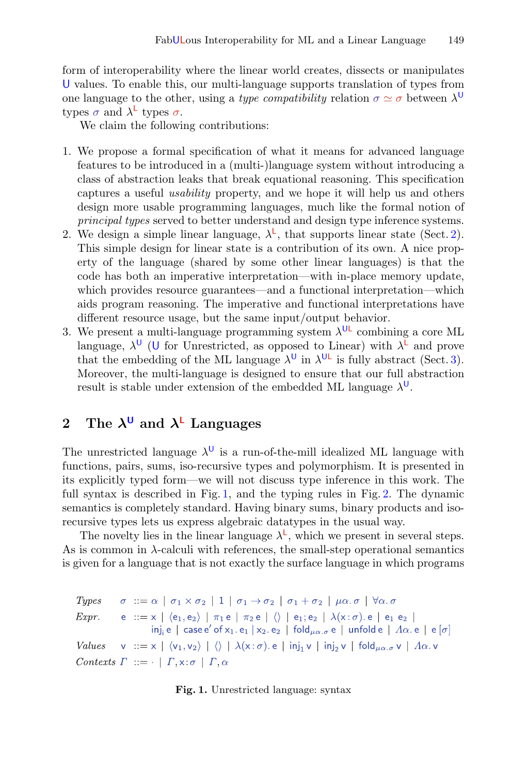form of interoperability where the linear world creates, dissects or manipulates U values. To enable this, our multi-language supports translation of types from one language to the other, using a *type compatibility* relation  $\sigma \simeq \sigma$  between  $\lambda^{\mathsf{U}}$ types  $\sigma$  and  $\lambda^{\mathsf{L}}$  types  $\sigma$ .

We claim the following contributions:

- 1. We propose a formal specification of what it means for advanced language features to be introduced in a (multi-)language system without introducing a class of abstraction leaks that break equational reasoning. This specification captures a useful *usability* property, and we hope it will help us and others design more usable programming languages, much like the formal notion of *principal types* served to better understand and design type inference systems.
- 2. We design a simple linear language,  $\lambda^{\mathsf{L}}$ , that supports linear state (Sect. [2\)](#page-3-0). This simple design for linear state is a contribution of its own. A nice property of the language (shared by some other linear languages) is that the code has both an imperative interpretation—with in-place memory update, which provides resource guarantees—and a functional interpretation—which aids program reasoning. The imperative and functional interpretations have different resource usage, but the same input/output behavior.
- 3. We present a multi-language programming system  $\lambda^{UL}$  combining a core ML language,  $\lambda^{U}$  (U for Unrestricted, as opposed to Linear) with  $\lambda^{L}$  and prove that the embedding of the ML language  $\lambda^{\mathsf{U}}$  in  $\lambda^{\mathsf{UL}}$  is fully abstract (Sect. [3\)](#page-8-0). Moreover, the multi-language is designed to ensure that our full abstraction result is stable under extension of the embedded ML language  $\lambda^{U}$ .

## <span id="page-3-0"></span>**2** The  $\lambda^{\mathsf{U}}$  and  $\lambda^{\mathsf{L}}$  Languages

The unrestricted language  $\lambda^{U}$  is a run-of-the-mill idealized ML language with functions, pairs, sums, iso-recursive types and polymorphism. It is presented in its explicitly typed form—we will not discuss type inference in this work. The full syntax is described in Fig. [1,](#page-3-1) and the typing rules in Fig. [2.](#page-4-0) The dynamic semantics is completely standard. Having binary sums, binary products and isorecursive types lets us express algebraic datatypes in the usual way.

The novelty lies in the linear language  $\lambda^{\mathsf{L}}$ , which we present in several steps. As is common in  $\lambda$ -calculi with references, the small-step operational semantics is given for a language that is not exactly the surface language in which programs

 $\sigma$  : =  $\alpha$  |  $\sigma_1 \times \sigma_2$  | 1 |  $\sigma_1 \rightarrow \sigma_2$  |  $\sigma_1 + \sigma_2$  |  $\mu \alpha \cdot \sigma$  |  $\forall \alpha \cdot \sigma$ **Types** e ::= x |  $\langle e_1, e_2 \rangle$  |  $\pi_1 e$  |  $\pi_2 e$  |  $\langle \rangle$  |  $e_1; e_2$  |  $\lambda(x:\sigma)$ . e |  $e_1 e_2$  |  $Expr.$ inj<sub>i</sub> e | case e' of x<sub>1</sub>. e<sub>1</sub> | x<sub>2</sub>. e<sub>2</sub> | fold  $\mu_{\alpha,\sigma}$  e | unfold e |  $\Lambda$  $\alpha$ . e | e  $[\sigma]$ v ::= x |  $\langle v_1, v_2 \rangle$  |  $\langle \rangle$  |  $\lambda(x:\sigma)$ . e | inj<sub>1</sub> v | inj<sub>2</sub> v | fold<sub> $\mu\alpha.\sigma$ </sub> v |  $\Lambda\alpha$ . v *Values* Contexts  $\Gamma ::= \cdot | \Gamma, \times : \sigma | \Gamma, \alpha$ 

<span id="page-3-1"></span>**Fig. 1.** Unrestricted language: syntax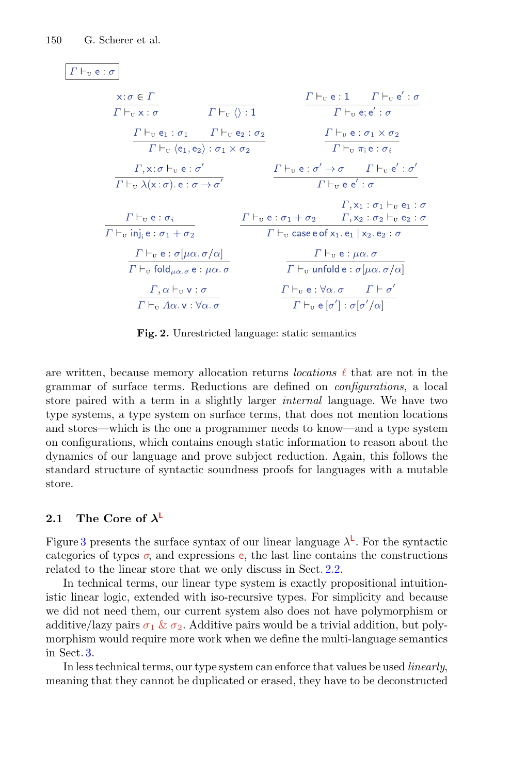<span id="page-4-0"></span>**Fig. 2.** Unrestricted language: static semantics

are written, because memory allocation returns *locations*  $\ell$  that are not in the grammar of surface terms. Reductions are defined on *configurations*, a local store paired with a term in a slightly larger *internal* language. We have two type systems, a type system on surface terms, that does not mention locations and stores—which is the one a programmer needs to know—and a type system on configurations, which contains enough static information to reason about the dynamics of our language and prove subject reduction. Again, this follows the standard structure of syntactic soundness proofs for languages with a mutable store.

### **2.1** The Core of  $\lambda^L$

Figure [3](#page-5-0) presents the surface syntax of our linear language  $\lambda^L$ . For the syntactic categories of types  $\sigma$ , and expressions e, the last line contains the constructions related to the linear store that we only discuss in Sect. [2.2.](#page-7-0)

In technical terms, our linear type system is exactly propositional intuitionistic linear logic, extended with iso-recursive types. For simplicity and because we did not need them, our current system also does not have polymorphism or additive/lazy pairs  $\sigma_1 \& \sigma_2$ . Additive pairs would be a trivial addition, but polymorphism would require more work when we define the multi-language semantics in Sect. [3.](#page-8-0)

In less technical terms, our type system can enforce that values be used *linearly*, meaning that they cannot be duplicated or erased, they have to be deconstructed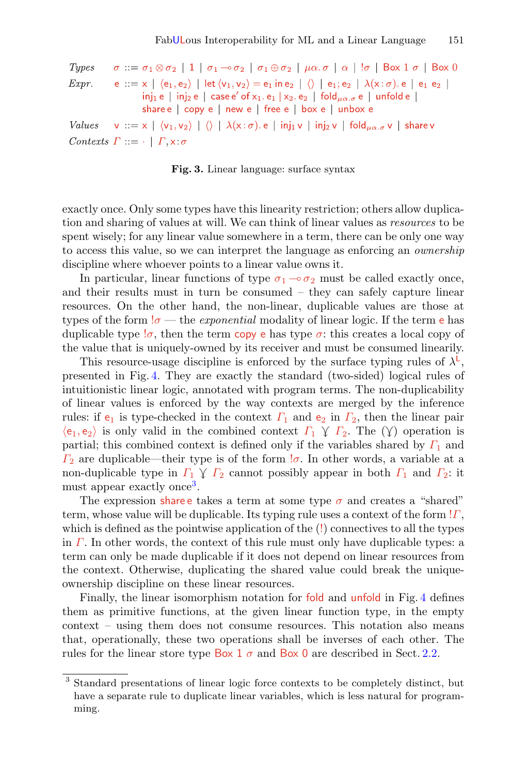```
Types
                   \sigma ::= \sigma_1 \otimes \sigma_2 | 1 | \sigma_1 - \sigma_2 | \sigma_1 \oplus \sigma_2 | \mu\alpha.\sigma | \alpha | !\sigma | Box 1 \sigma | Box 0e ::= x | \langle e_1, e_2 \rangle | let \langle v_1, v_2 \rangle = e_1 in e_2 | \langle \rangle | e_1; e_2 | \lambda(x : \sigma). e | e_1 e_2 |Expr.inj<sub>1</sub> e | inj<sub>2</sub> e | case e' of x<sub>1</sub>. e<sub>1</sub> | x<sub>2</sub>. e<sub>2</sub> | fold<sub>\mu\alpha.\sigma</sub> e | unfold e |
                               share e | copy e | new e | free e | box e | unbox e
Values
                   v ::= x | \langle v_1, v_2 \rangle | \langle \rangle | \lambda(x:\sigma). e | \overline{inj_1}v | \overline{inj_2}v | \overline{fold}_{\mu\alpha.\sigma}v | share v
Contexts \Gamma ::= \cdot | \Gamma, \times : \sigma
```
<span id="page-5-0"></span>**Fig. 3.** Linear language: surface syntax

exactly once. Only some types have this linearity restriction; others allow duplication and sharing of values at will. We can think of linear values as *resources* to be spent wisely; for any linear value somewhere in a term, there can be only one way to access this value, so we can interpret the language as enforcing an *ownership* discipline where whoever points to a linear value owns it.

In particular, linear functions of type  $\sigma_1 \rightarrow \sigma_2$  must be called exactly once, and their results must in turn be consumed – they can safely capture linear resources. On the other hand, the non-linear, duplicable values are those at types of the form  $\sigma$  — the *exponential* modality of linear logic. If the term **e** has duplicable type  $\sigma$ , then the term copy e has type  $\sigma$ : this creates a local copy of the value that is uniquely-owned by its receiver and must be consumed linearily.

This resource-usage discipline is enforced by the surface typing rules of  $\lambda^{\mathsf{L}}$ , presented in Fig. [4.](#page-6-0) They are exactly the standard (two-sided) logical rules of intuitionistic linear logic, annotated with program terms. The non-duplicability of linear values is enforced by the way contexts are merged by the inference rules: if  $e_1$  is type-checked in the context  $\Gamma_1$  and  $e_2$  in  $\Gamma_2$ , then the linear pair  $\langle e_1, e_2 \rangle$  is only valid in the combined context  $\Gamma_1 \ \gamma \ \Gamma_2$ . The  $(\gamma)$  operation is partial; this combined context is defined only if the variables shared by  $\Gamma_1$  and  $\Gamma_2$  are duplicable—their type is of the form  $\sigma$ . In other words, a variable at a non-duplicable type in  $\Gamma_1 \vee \Gamma_2$  cannot possibly appear in both  $\Gamma_1$  and  $\Gamma_2$ : it must appear exactly once<sup>[3](#page-5-1)</sup>.

The expression share e takes a term at some type  $\sigma$  and creates a "shared" term, whose value will be duplicable. Its typing rule uses a context of the form  $! \Gamma$ , which is defined as the pointwise application of the  $(!)$  connectives to all the types in  $\Gamma$ . In other words, the context of this rule must only have duplicable types: a term can only be made duplicable if it does not depend on linear resources from the context. Otherwise, duplicating the shared value could break the uniqueownership discipline on these linear resources.

Finally, the linear isomorphism notation for fold and unfold in Fig. [4](#page-6-0) defines them as primitive functions, at the given linear function type, in the empty context – using them does not consume resources. This notation also means that, operationally, these two operations shall be inverses of each other. The rules for the linear store type  $Box 1 \sigma$  and  $Box 0$  are described in Sect. [2.2.](#page-7-0)

<span id="page-5-1"></span><sup>3</sup> Standard presentations of linear logic force contexts to be completely distinct, but have a separate rule to duplicate linear variables, which is less natural for programming.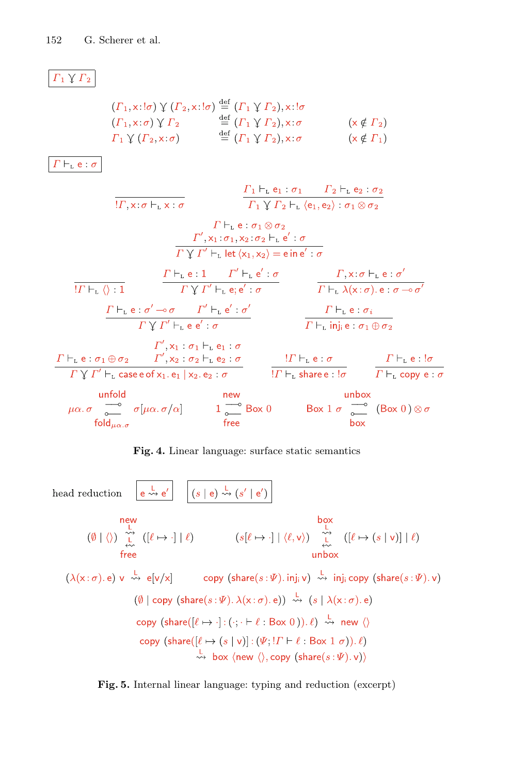$\overline{(}$  $\overline{(\ }$  $\overline{I}$ 

 $\varGamma_1\veebar\varGamma_2$ 

$$
\begin{array}{ll}\n\Gamma_1, \times: I\sigma \downarrow \chi \left( \Gamma_2, \times: I\sigma \right) \stackrel{\text{def}}{=} (\Gamma_1 \downarrow \Gamma_2), \times: I\sigma \\
\Gamma_1, \times: \sigma \downarrow \chi \left( \Gamma_2 \right) \downarrow \Gamma_2 & \stackrel{\text{def}}{=} (\Gamma_1 \downarrow \Gamma_2), \times: \sigma \\
\chi \uparrow \chi \left( \Gamma_2, \times: \sigma \right) & \stackrel{\text{def}}{=} (\Gamma_1 \downarrow \Gamma_2), \times: \sigma \\
\chi \uparrow \chi \left( \Gamma_2 \right) & \stackrel{\text{def}}{=} (\Gamma_1 \downarrow \Gamma_2), \times: \sigma \\
\chi \uparrow \chi \left( \Gamma_2 \right) & \stackrel{\text{def}}{=} (\Gamma_1 \downarrow \Gamma_2), \times: \sigma\n\end{array}
$$

 $\Gamma\vdash_{\text{\tiny L}}\text{\large e}:\sigma$ 

$$
\frac{\Gamma_{1} \vdash_{L} e_{1}: \sigma_{1} \qquad \Gamma_{2} \vdash_{L} e_{2}: \sigma_{2}}{\Gamma_{1} \vee \Gamma_{2} \vdash_{L} \langle e_{1}, e_{2} \rangle : \sigma_{1} \otimes \sigma_{2}}
$$
\n
$$
\frac{\Gamma \vdash_{L} e: \sigma_{1} \otimes \sigma_{2}}{\Gamma \vee \Gamma' \vdash_{L} \text{ let } \langle x_{1}, x_{2} \rangle = \text{eine}': \sigma}
$$
\n
$$
\frac{\Gamma \vdash_{L} e: \sigma_{1} \otimes \sigma_{2}}{\Gamma \vee \Gamma' \vdash_{L} \text{ let } \langle x_{1}, x_{2} \rangle = \text{eine}': \sigma}
$$
\n
$$
\frac{\Gamma \vdash_{L} e: 1 \qquad \Gamma' \vdash_{L} e': \sigma}{\Gamma \vee \Gamma' \vdash_{L} e: \sigma'} \qquad \frac{\Gamma, x: \sigma \vdash_{L} e: \sigma'}{\Gamma \vdash_{L} \lambda(x: \sigma). e: \sigma \multimap \sigma'}
$$
\n
$$
\frac{\Gamma \vdash_{L} e: \sigma' \multimap \sigma \qquad \Gamma' \vdash_{L} e': \sigma}{\Gamma \vee \Gamma' \vdash_{L} e: \sigma} \qquad \frac{\Gamma \vdash_{L} e: \sigma_{i}}{\Gamma \vdash_{L} \text{ inji} e: \sigma_{1} \oplus \sigma_{2}}
$$
\n
$$
\frac{\Gamma', x_{1}: \sigma_{1} \vdash_{L} e_{1}: \sigma}{\Gamma \vee \Gamma' \vdash_{L} \text{ case of } x_{1}. e_{1} \mid x_{2}. e_{2}: \sigma} \qquad \frac{\Gamma \vdash_{L} e: \sigma}{\Gamma \vdash_{L} \text{ share } : \sigma} \qquad \frac{\Gamma \vdash_{L} e: \sigma}{\Gamma \vdash_{L} \text{ space } x_{1}. e_{1} \mid x_{2}. e_{2}: \sigma} \qquad \frac{\Gamma \vdash_{L} e: \sigma}{\Gamma \vdash_{L} \text{ share } : \sigma} \qquad \frac{\Gamma \vdash_{L} e: \sigma}{\Gamma \vdash_{L} \text{ cone } x}
$$
\n
$$
\text{unfold} \qquad \text{new} \qquad \text{unbox}
$$
\n
$$
\mu\alpha. \sigma \qquad \frac{\sigma}{\circ} \qquad \sigma[\mu\alpha. \sigma
$$

<span id="page-6-0"></span>**Fig. 4.** Linear language: surface static semantics

head reduction  $\begin{array}{|c|c|} \hline \mathbf{e} & \stackrel{\mathbf{L}}{\leadsto} \mathbf{e}' & (s \mid \mathbf{e}) & \stackrel{\mathbf{L}}{\leadsto} (s' \mid \mathbf{e}') \\ \hline \hline \end{array}$ <br>
new box<br>  $(\emptyset \mid \langle \rangle) \begin{array}{c} \stackrel{\mathbf{L}}{\leadsto} & ([\ell \mapsto \cdot] \mid \ell) & (s[\ell \mapsto \cdot] \mid \langle \ell, v \rangle) & \stackrel{\mathbf{L}}{\leadsto} & ([\ell \mapsto (s \mid v)] \mid \ell) \\ \hline \$  $(\lambda(x:\sigma), e)$  v  $\stackrel{\mathsf{L}}{\rightsquigarrow}$  e[v/x] copy (share $(s:\Psi)$ . inj<sub>i</sub> v)  $\stackrel{\mathsf{L}}{\rightsquigarrow}$  inj<sub>i</sub> copy (share $(s:\Psi)$ . v)  $(\emptyset \mid \text{copy (share}(s : \Psi), \lambda(x : \sigma), e)) \stackrel{\mathsf{L}}{\rightsquigarrow} (s \mid \lambda(x : \sigma), e)$ copy  $(\text{share}([\ell \mapsto \cdot] : (\cdot; \cdot \vdash \ell : \text{Box } 0)).\ell) \stackrel{\mathsf{L}}{\leadsto} \text{new } \langle \rangle$ copy  $(\text{share}([\ell \mapsto (s \mid v)] : (\Psi; !\Gamma \vdash \ell : \text{Box } 1 \sigma)). \ell)$  $\stackrel{\mathsf{L}}{\rightsquigarrow}$  box  $\langle \mathsf{new} \rangle$ , copy  $(\mathsf{share}(s:\Psi), \mathsf{v})$ 

<span id="page-6-1"></span>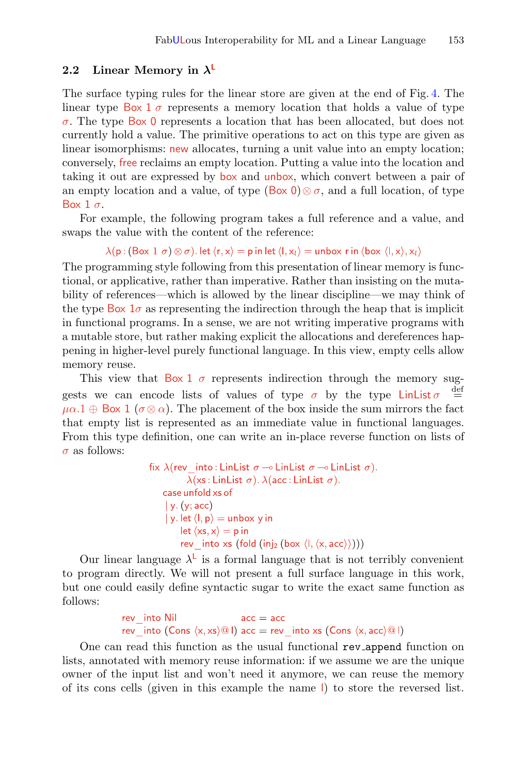#### <span id="page-7-0"></span>**2.2 Linear Memory in** *λ***<sup>L</sup>**

The surface typing rules for the linear store are given at the end of Fig. [4.](#page-6-0) The linear type  $Box 1 \sigma$  represents a memory location that holds a value of type  $\sigma$ . The type Box 0 represents a location that has been allocated, but does not currently hold a value. The primitive operations to act on this type are given as linear isomorphisms: new allocates, turning a unit value into an empty location; conversely, free reclaims an empty location. Putting a value into the location and taking it out are expressed by box and unbox, which convert between a pair of an empty location and a value, of type  $(Box 0) \otimes \sigma$ , and a full location, of type Box 1  $σ$ .

For example, the following program takes a full reference and a value, and swaps the value with the content of the reference:

```
\lambda(p:(\text{Box } 1 \sigma) \otimes \sigma). let \langle r, x \rangle = p in let \langle l, x_l \rangle = unbox r in \langlebox \langle l, x \rangle, x_l \rangle
```
The programming style following from this presentation of linear memory is functional, or applicative, rather than imperative. Rather than insisting on the mutability of references—which is allowed by the linear discipline—we may think of the type Box  $1\sigma$  as representing the indirection through the heap that is implicit in functional programs. In a sense, we are not writing imperative programs with a mutable store, but rather making explicit the allocations and dereferences happening in higher-level purely functional language. In this view, empty cells allow memory reuse.

This view that Box 1  $\sigma$  represents indirection through the memory suggests we can encode lists of values of type  $\sigma$  by the type LinList  $\sigma$  $\equiv$  $\mu\alpha.1 \oplus \mathsf{Box} 1$  ( $\sigma \otimes \alpha$ ). The placement of the box inside the sum mirrors the fact that empty list is represented as an immediate value in functional languages. From this type definition, one can write an in-place reverse function on lists of  $\sigma$  as follows:

```
fix \lambda(rev into: LinList \sigma \rightarrow LinList \sigma \rightarrow LinList \sigma).
              \lambda(xs: LinList \sigma). \lambda(acc: LinList \sigma).
     case unfold xs of
      |v. (v:acc)||y. let \langle I, p \rangle = unbox y in
            let \langle xs, x \rangle = p in
            rev into xs (fold (inj<sub>2</sub> (box \langle I, \langle x, acc \rangle \rangle)))
```
Our linear language  $\lambda^{\mathsf{L}}$  is a formal language that is not terribly convenient to program directly. We will not present a full surface language in this work, but one could easily define syntactic sugar to write the exact same function as follows:

> rev into Nil  $acc = acc$ rev into  $(Cons \langle x, xs \rangle @ 1)$  acc = rev into xs  $(Cons \langle x, acc \rangle @ 1)$

One can read this function as the usual functional rev append function on lists, annotated with memory reuse information: if we assume we are the unique owner of the input list and won't need it anymore, we can reuse the memory of its cons cells (given in this example the name l) to store the reversed list.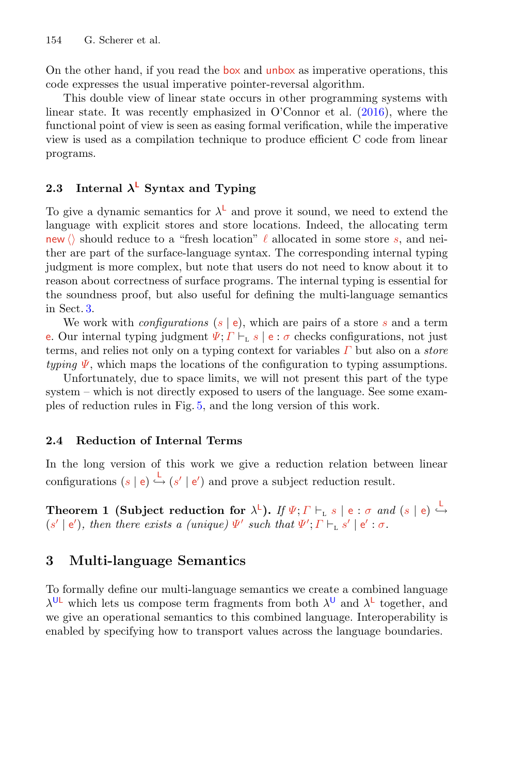On the other hand, if you read the box and unbox as imperative operations, this code expresses the usual imperative pointer-reversal algorithm.

This double view of linear state occurs in other programming systems with linear state. It was recently emphasized in O'Connor et al. [\(2016\)](#page-15-7), where the functional point of view is seen as easing formal verification, while the imperative view is used as a compilation technique to produce efficient C code from linear programs.

#### **2.3 Internal** *λ***<sup>L</sup> Syntax and Typing**

To give a dynamic semantics for  $\lambda^{\mathsf{L}}$  and prove it sound, we need to extend the language with explicit stores and store locations. Indeed, the allocating term new  $\langle \rangle$  should reduce to a "fresh location"  $\ell$  allocated in some store s, and neither are part of the surface-language syntax. The corresponding internal typing judgment is more complex, but note that users do not need to know about it to reason about correctness of surface programs. The internal typing is essential for the soundness proof, but also useful for defining the multi-language semantics in Sect. [3.](#page-8-0)

We work with *configurations*  $(s | e)$ , which are pairs of a store s and a term e. Our internal typing judgment  $\Psi: \Gamma \vdash_{\mathbf{L}} s \mid \mathbf{e} : \sigma$  checks configurations, not just terms, and relies not only on a typing context for variables Γ but also on a *store typing*  $\Psi$ , which maps the locations of the configuration to typing assumptions.

Unfortunately, due to space limits, we will not present this part of the type system – which is not directly exposed to users of the language. See some examples of reduction rules in Fig. [5,](#page-6-1) and the long version of this work.

#### **2.4 Reduction of Internal Terms**

In the long version of this work we give a reduction relation between linear configurations  $(s | e) \xrightarrow{L} (s' | e')$  and prove a subject reduction result.

**Theorem 1 (Subject reduction for**  $\lambda^{\perp}$ ). *If*  $\Psi$ ;  $\Gamma \vdash_L s \mid e : \sigma$  *and*  $(s \mid e) \stackrel{\mathsf{L}}{\hookrightarrow}$  $(s' | e'),$  then there exists a (unique)  $\Psi'$  such that  $\Psi'; \Gamma \vdash_{\mathsf{L}} s' | e' : \sigma.$ 

## <span id="page-8-0"></span>**3 Multi-language Semantics**

To formally define our multi-language semantics we create a combined language  $\lambda^{UL}$  which lets us compose term fragments from both  $\lambda^{U}$  and  $\lambda^{L}$  together, and we give an operational semantics to this combined language. Interoperability is enabled by specifying how to transport values across the language boundaries.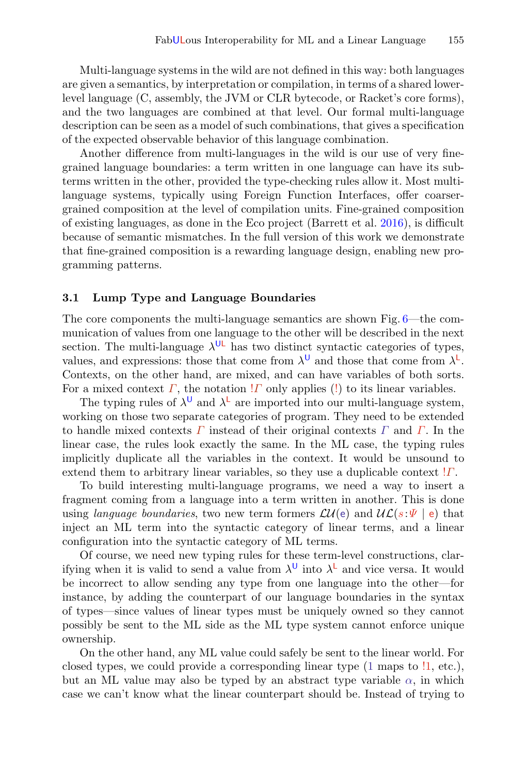Multi-language systems in the wild are not defined in this way: both languages are given a semantics, by interpretation or compilation, in terms of a shared lowerlevel language (C, assembly, the JVM or CLR bytecode, or Racket's core forms), and the two languages are combined at that level. Our formal multi-language description can be seen as a model of such combinations, that gives a specification of the expected observable behavior of this language combination.

Another difference from multi-languages in the wild is our use of very finegrained language boundaries: a term written in one language can have its subterms written in the other, provided the type-checking rules allow it. Most multilanguage systems, typically using Foreign Function Interfaces, offer coarsergrained composition at the level of compilation units. Fine-grained composition of existing languages, as done in the Eco project (Barrett et al. [2016](#page-15-8)), is difficult because of semantic mismatches. In the full version of this work we demonstrate that fine-grained composition is a rewarding language design, enabling new programming patterns.

#### **3.1 Lump Type and Language Boundaries**

The core components the multi-language semantics are shown Fig. [6—](#page-10-0)the communication of values from one language to the other will be described in the next section. The multi-language  $\lambda^{UL}$  has two distinct syntactic categories of types, values, and expressions: those that come from  $\lambda^{\mathsf{U}}$  and those that come from  $\lambda^{\mathsf{L}}$ . Contexts, on the other hand, are mixed, and can have variables of both sorts. For a mixed context  $\Gamma$ , the notation  $\Gamma$  only applies (!) to its linear variables.

The typing rules of  $\lambda^{\mathsf{U}}$  and  $\lambda^{\mathsf{L}}$  are imported into our multi-language system, working on those two separate categories of program. They need to be extended to handle mixed contexts  $\Gamma$  instead of their original contexts  $\Gamma$  and  $\Gamma$ . In the linear case, the rules look exactly the same. In the ML case, the typing rules implicitly duplicate all the variables in the context. It would be unsound to extend them to arbitrary linear variables, so they use a duplicable context !Γ.

To build interesting multi-language programs, we need a way to insert a fragment coming from a language into a term written in another. This is done using *language boundaries*, two new term formers  $\mathcal{L}U(\epsilon)$  and  $\mathcal{UL}(s:\Psi | \epsilon)$  that inject an ML term into the syntactic category of linear terms, and a linear configuration into the syntactic category of ML terms.

Of course, we need new typing rules for these term-level constructions, clarifying when it is valid to send a value from  $\lambda^{\mathsf{U}}$  into  $\lambda^{\mathsf{L}}$  and vice versa. It would be incorrect to allow sending any type from one language into the other—for instance, by adding the counterpart of our language boundaries in the syntax of types—since values of linear types must be uniquely owned so they cannot possibly be sent to the ML side as the ML type system cannot enforce unique ownership.

On the other hand, any ML value could safely be sent to the linear world. For closed types, we could provide a corresponding linear type (1 maps to !1, etc.), but an ML value may also be typed by an abstract type variable  $\alpha$ , in which case we can't know what the linear counterpart should be. Instead of trying to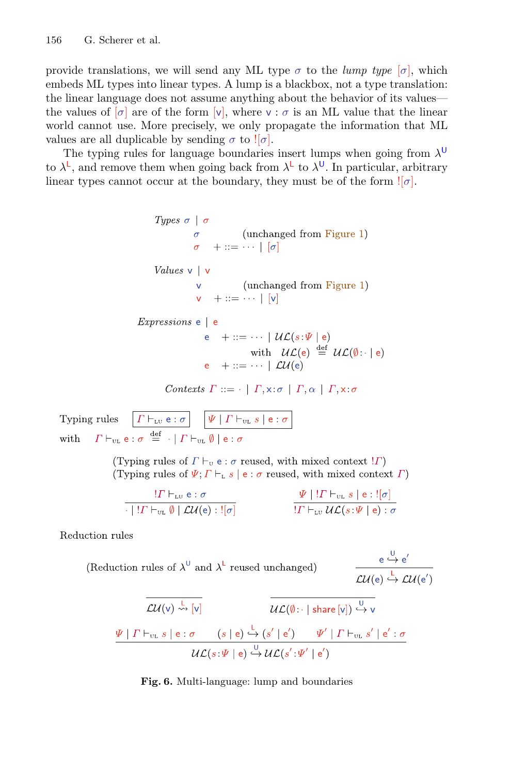provide translations, we will send any ML type  $\sigma$  to the *lump type*  $[\sigma]$ , which embeds ML types into linear types. A lump is a blackbox, not a type translation: the linear language does not assume anything about the behavior of its values the values of  $[\sigma]$  are of the form  $[v]$ , where v :  $\sigma$  is an ML value that the linear world cannot use. More precisely, we only propagate the information that ML values are all duplicable by sending  $\sigma$  to  $\sqrt{[\sigma]}$ .

The typing rules for language boundaries insert lumps when going from  $\lambda^{U}$ to  $\lambda^{\mathsf{L}}$ , and remove them when going back from  $\lambda^{\mathsf{L}}$  to  $\lambda^{\mathsf{U}}$ . In particular, arbitrary linear types cannot occur at the boundary, they must be of the form  $\sqrt{[\sigma]}$ .

```
Types \sigma | \sigma\sigma (unchanged from Figure 1)<br>
\sigma + ::= ... | [\sigma]Values v \mid vExpressions \in \mathcal{C}e + ::= \cdots | \mathcal{UL}(s:\Psi | e)e + ........ | \mathcal{UL}(s.\Psi \mid e)<br>
with \mathcal{UL}(e) \stackrel{\text{def}}{=} \mathcal{UL}(\emptyset : \mid e)<br>
e + ::= ... | \mathcal{LU}(e)Contexts \Gamma ::= \cdot | \Gamma, \times : \sigma | \Gamma, \alpha | \Gamma, \times : \sigmag rules \boxed{\Gamma \vdash_{\texttt{LU}} e : \sigma} \boxed{\Psi \mid \Gamma \vdash_{\texttt{UL}} s \mid e : \sigma}<br>
\Gamma \vdash_{\texttt{UL}} e : \sigma \stackrel{\text{def}}{=} \cdot \mid \Gamma \vdash_{\texttt{UL}} \emptyset \mid e : \sigmaTyping rules
with
                          (Typing rules of \Gamma \vdash_{\mathfrak{u}} \mathsf{e} : \sigma reused, with mixed context !\Gamma)
```
(Typing rules of  $\Psi$ ;  $\Gamma \vdash_{\mathsf{L}} s \mid \mathsf{e} : \sigma$  reused, with mixed context  $\Gamma$ )

$$
\frac{\Gamma \vdash_{\text{LU}} e : \sigma}{\cdot | \Gamma \vdash_{\text{UL}} \emptyset | \mathcal{LU}(e) : ![\sigma]}
$$
\n
$$
\frac{\Psi | \Gamma \vdash_{\text{UL}} s | e : ![\sigma]}{\Gamma \vdash_{\text{LU}} \mathcal{UL}(s : \Psi | e) : \sigma}
$$

Reduction rules

(Reduction rules of  $\lambda^U$  and  $\lambda^L$  reused unchanged)  $e \stackrel{\cup}{\rightarrow} e' \stackrel{\vee}{\rightarrow} e'$  $\overline{\mathcal{LU}(v) \stackrel{L}{\rightsquigarrow} [v]}$   $\overline{\mathcal{UL}(\emptyset : | \text{ share } [v]) \stackrel{U}{\rightarrow} v}$  $\frac{\Psi | \Gamma \vdash_{\text{UL}} s | \mathbf{e} : \sigma \qquad (s | \mathbf{e}) \stackrel{\mathbf{L}}{\hookrightarrow} (s' | \mathbf{e}') \qquad \Psi' | \Gamma \vdash_{\text{UL}} s' | \mathbf{e}' : \sigma}{\mathcal{U} \Gamma(s \cdot \Psi | \mathbf{e}) \stackrel{\mathbf{U}}{\hookrightarrow} \mathcal{U} \Gamma(s' \cdot \Psi' | \mathbf{e}') }$ 

<span id="page-10-0"></span>**Fig. 6.** Multi-language: lump and boundaries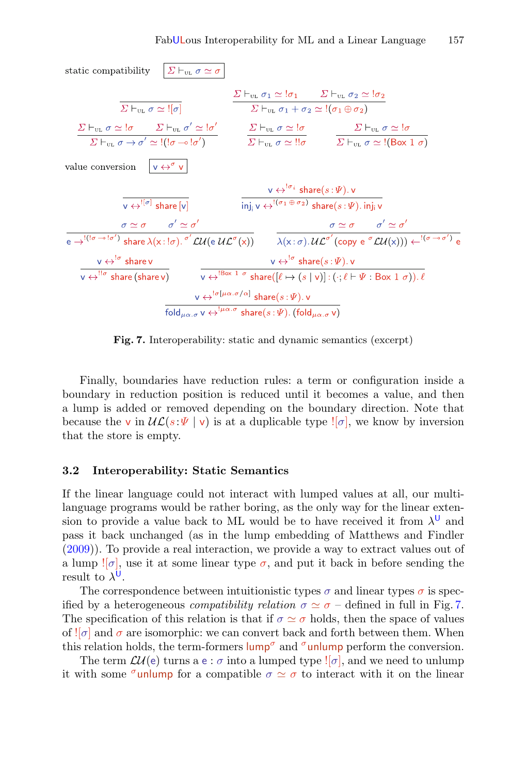

<span id="page-11-0"></span>**Fig. 7.** Interoperability: static and dynamic semantics (excerpt)

Finally, boundaries have reduction rules: a term or configuration inside a boundary in reduction position is reduced until it becomes a value, and then a lump is added or removed depending on the boundary direction. Note that because the v in  $\mathcal{UL}(s:\Psi | \mathbf{v})$  is at a duplicable type  $\mathcal{I}[\sigma]$ , we know by inversion that the store is empty.

#### **3.2 Interoperability: Static Semantics**

If the linear language could not interact with lumped values at all, our multilanguage programs would be rather boring, as the only way for the linear extension to provide a value back to ML would be to have received it from  $\lambda^{\mathsf{U}}$  and pass it back unchanged (as in the lump embedding of Matthews and Findler [\(2009](#page-15-9))). To provide a real interaction, we provide a way to extract values out of a lump  $\lbrack \lbrack \sigma \rbrack$ , use it at some linear type  $\sigma$ , and put it back in before sending the result to  $\lambda^{\mathsf{U}}$ .

The correspondence between intuitionistic types  $\sigma$  and linear types  $\sigma$  is specified by a heterogeneous *compatibility relation*  $\sigma \simeq \sigma$  – defined in full in Fig. [7.](#page-11-0) The specification of this relation is that if  $\sigma \simeq \sigma$  holds, then the space of values of  $\left[\sigma\right]$  and  $\sigma$  are isomorphic: we can convert back and forth between them. When this relation holds, the term-formers lump<sup> $\sigma$ </sup> and  $\sigma$  unlump perform the conversion.

The term  $\mathcal{L}U(e)$  turns a e :  $\sigma$  into a lumped type  $\vert [\sigma]$ , and we need to unlump it with some  $\sigma$  unlump for a compatible  $\sigma \simeq \sigma$  to interact with it on the linear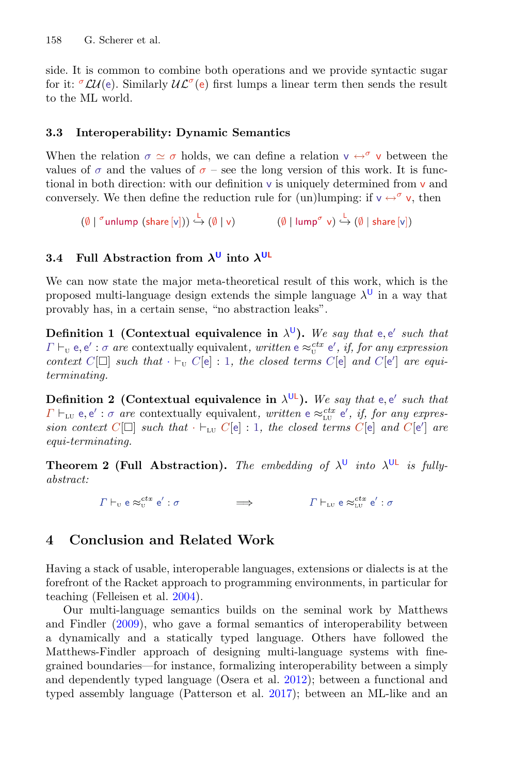side. It is common to combine both operations and we provide syntactic sugar for it:  ${}^{\sigma}\mathcal{L}U(\epsilon)$ . Similarly  $\mathcal{UL}^{\sigma}(\epsilon)$  first lumps a linear term then sends the result to the ML world.

#### **3.3 Interoperability: Dynamic Semantics**

When the relation  $\sigma \simeq \sigma$  holds, we can define a relation  $v \leftrightarrow^{\sigma} v$  between the values of  $\sigma$  and the values of  $\sigma$  – see the long version of this work. It is functional in both direction: with our definition  $\nu$  is uniquely determined from  $\nu$  and conversely. We then define the reduction rule for (un)lumping: if  $v \leftrightarrow^{\sigma} v$ , then

 $(\emptyset |^{\sigma}$ unlump (share  $[v])$ )  $\stackrel{\mathsf{L}}{\rightarrow} (\emptyset | v)$  $(\emptyset \mid \text{lump}^{\sigma} \text{ v}) \stackrel{\mathsf{L}}{\hookrightarrow} (\emptyset \mid \text{share}[\text{v}])$ 

## **3.4 Full Abstraction from** *λ***<sup>U</sup> into** *λ***UL**

We can now state the major meta-theoretical result of this work, which is the proposed multi-language design extends the simple language  $\lambda^{U}$  in a way that provably has, in a certain sense, "no abstraction leaks".

**Definition 1 (Contextual equivalence in**  $\lambda^{U}$ ). We say that e, e' such that  $\Gamma \vdash_{\mathbf{U}} \mathbf{e}, \mathbf{e}' : \sigma$  are contextually equivalent, written  $\mathbf{e} \approx_{\mathbf{U}}^{\mathbf{ctx}} \mathbf{e}'$ , if, for any expression *context*  $C[\Box]$  *such that*  $\cdot \vdash_{\mathbf{U}} C[\mathbf{e}] : 1$ *, the closed terms*  $C[\mathbf{e}]$  *and*  $C[\mathbf{e}']$  *are equiterminating.*

**Definition 2 (Contextual equivalence in**  $\lambda^{UL}$ ). We say that e, e' such that  $\Gamma \vdash_{LU} e, e' : \sigma \text{ are contextually equivalent, written } e \approx_{LU}^{ctx} e', \text{ if, for any express-}$ *sion context*  $C[\Box]$  *such that*  $\cdot \vdash_{LU} C[e] : 1$ *, the closed terms*  $C[e]$  *and*  $C[e']$  *are equi-terminating.*

**Theorem 2 (Full Abstraction).** *The embedding of*  $\lambda^{\mathsf{U}}$  *into*  $\lambda^{\mathsf{U}\mathsf{L}}$  *is fullyabstract:*

> $\Gamma \vdash_{\mathbf{u}} \mathbf{e} \approx_{\mathbf{u}}^{ctx} \mathbf{e}' : \sigma$  $\Gamma \vdash_{\text{\tiny LU}}$  e  $\approx_{\text{\tiny LU}}^{ctx}$  e' :  $\sigma$  $\implies$

## **4 Conclusion and Related Work**

Having a stack of usable, interoperable languages, extensions or dialects is at the forefront of the Racket approach to programming environments, in particular for teaching (Felleisen et al. [2004](#page-15-10)).

Our multi-language semantics builds on the seminal work by Matthews and Findler [\(2009\)](#page-15-9), who gave a formal semantics of interoperability between a dynamically and a statically typed language. Others have followed the Matthews-Findler approach of designing multi-language systems with finegrained boundaries—for instance, formalizing interoperability between a simply and dependently typed language (Osera et al. [2012](#page-16-1)); between a functional and typed assembly language (Patterson et al. [2017](#page-16-2)); between an ML-like and an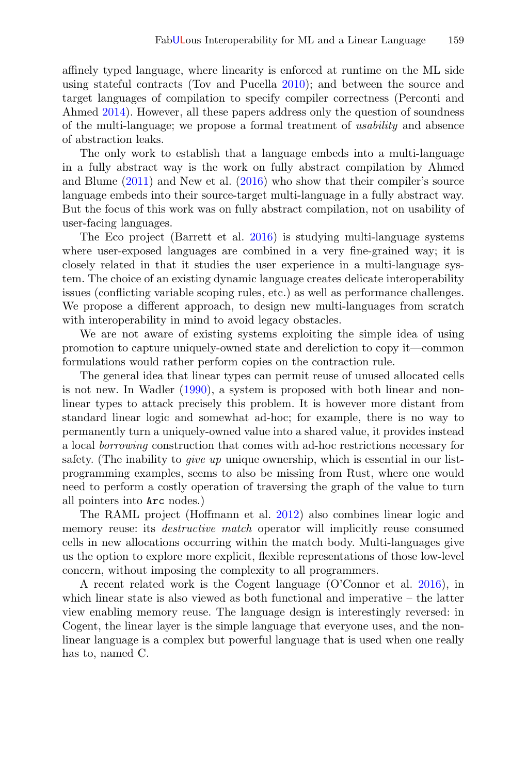affinely typed language, where linearity is enforced at runtime on the ML side using stateful contracts (Tov and Pucella [2010\)](#page-16-3); and between the source and target languages of compilation to specify compiler correctness (Perconti and Ahmed [2014\)](#page-16-4). However, all these papers address only the question of soundness of the multi-language; we propose a formal treatment of *usability* and absence of abstraction leaks.

The only work to establish that a language embeds into a multi-language in a fully abstract way is the work on fully abstract compilation by Ahmed and Blume [\(2011](#page-15-4)) and New et al. [\(2016\)](#page-15-6) who show that their compiler's source language embeds into their source-target multi-language in a fully abstract way. But the focus of this work was on fully abstract compilation, not on usability of user-facing languages.

The Eco project (Barrett et al. [2016\)](#page-15-8) is studying multi-language systems where user-exposed languages are combined in a very fine-grained way; it is closely related in that it studies the user experience in a multi-language system. The choice of an existing dynamic language creates delicate interoperability issues (conflicting variable scoping rules, etc.) as well as performance challenges. We propose a different approach, to design new multi-languages from scratch with interoperability in mind to avoid legacy obstacles.

We are not aware of existing systems exploiting the simple idea of using promotion to capture uniquely-owned state and dereliction to copy it—common formulations would rather perform copies on the contraction rule.

The general idea that linear types can permit reuse of unused allocated cells is not new. In Wadler [\(1990\)](#page-16-5), a system is proposed with both linear and nonlinear types to attack precisely this problem. It is however more distant from standard linear logic and somewhat ad-hoc; for example, there is no way to permanently turn a uniquely-owned value into a shared value, it provides instead a local *borrowing* construction that comes with ad-hoc restrictions necessary for safety. (The inability to *give up* unique ownership, which is essential in our listprogramming examples, seems to also be missing from Rust, where one would need to perform a costly operation of traversing the graph of the value to turn all pointers into Arc nodes.)

The RAML project (Hoffmann et al. [2012](#page-15-11)) also combines linear logic and memory reuse: its *destructive match* operator will implicitly reuse consumed cells in new allocations occurring within the match body. Multi-languages give us the option to explore more explicit, flexible representations of those low-level concern, without imposing the complexity to all programmers.

A recent related work is the Cogent language (O'Connor et al. [2016\)](#page-15-7), in which linear state is also viewed as both functional and imperative – the latter view enabling memory reuse. The language design is interestingly reversed: in Cogent, the linear layer is the simple language that everyone uses, and the nonlinear language is a complex but powerful language that is used when one really has to, named C.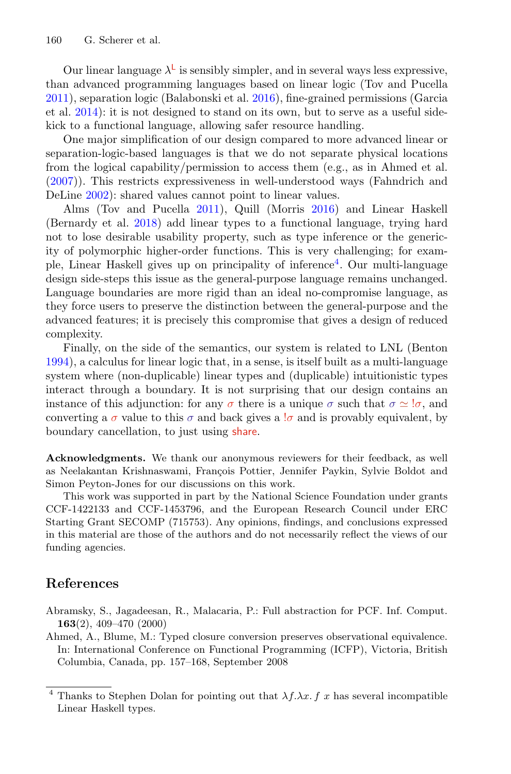Our linear language  $\lambda^{\mathsf{L}}$  is sensibly simpler, and in several ways less expressive, than advanced programming languages based on linear logic (Tov and Pucella [2011](#page-16-6)), separation logic (Balabonski et al. [2016\)](#page-15-12), fine-grained permissions (Garcia et al. [2014](#page-15-13)): it is not designed to stand on its own, but to serve as a useful sidekick to a functional language, allowing safer resource handling.

One major simplification of our design compared to more advanced linear or separation-logic-based languages is that we do not separate physical locations from the logical capability/permission to access them (e.g., as in Ahmed et al. [\(2007](#page-15-14))). This restricts expressiveness in well-understood ways (Fahndrich and DeLine [2002\)](#page-15-15): shared values cannot point to linear values.

Alms (Tov and Pucella [2011](#page-16-6)), Quill (Morris [2016\)](#page-15-16) and Linear Haskell (Bernardy et al. [2018](#page-15-17)) add linear types to a functional language, trying hard not to lose desirable usability property, such as type inference or the genericity of polymorphic higher-order functions. This is very challenging; for example, Linear Haskell gives up on principality of inference[4](#page-14-2). Our multi-language design side-steps this issue as the general-purpose language remains unchanged. Language boundaries are more rigid than an ideal no-compromise language, as they force users to preserve the distinction between the general-purpose and the advanced features; it is precisely this compromise that gives a design of reduced complexity.

Finally, on the side of the semantics, our system is related to LNL (Benton [1994](#page-15-18)), a calculus for linear logic that, in a sense, is itself built as a multi-language system where (non-duplicable) linear types and (duplicable) intuitionistic types interact through a boundary. It is not surprising that our design contains an instance of this adjunction: for any  $\sigma$  there is a unique  $\sigma$  such that  $\sigma \simeq \sigma$ , and converting a  $\sigma$  value to this  $\sigma$  and back gives a  $\sigma$  and is provably equivalent, by boundary cancellation, to just using share.

**Acknowledgments.** We thank our anonymous reviewers for their feedback, as well as Neelakantan Krishnaswami, François Pottier, Jennifer Paykin, Sylvie Boldot and Simon Peyton-Jones for our discussions on this work.

This work was supported in part by the National Science Foundation under grants CCF-1422133 and CCF-1453796, and the European Research Council under ERC Starting Grant SECOMP (715753). Any opinions, findings, and conclusions expressed in this material are those of the authors and do not necessarily reflect the views of our funding agencies.

## **References**

- <span id="page-14-0"></span>Abramsky, S., Jagadeesan, R., Malacaria, P.: Full abstraction for PCF. Inf. Comput. **163**(2), 409–470 (2000)
- <span id="page-14-1"></span>Ahmed, A., Blume, M.: Typed closure conversion preserves observational equivalence. In: International Conference on Functional Programming (ICFP), Victoria, British Columbia, Canada, pp. 157–168, September 2008

<span id="page-14-2"></span><sup>&</sup>lt;sup>4</sup> Thanks to Stephen Dolan for pointing out that  $\lambda f \cdot \lambda x$ . f x has several incompatible Linear Haskell types.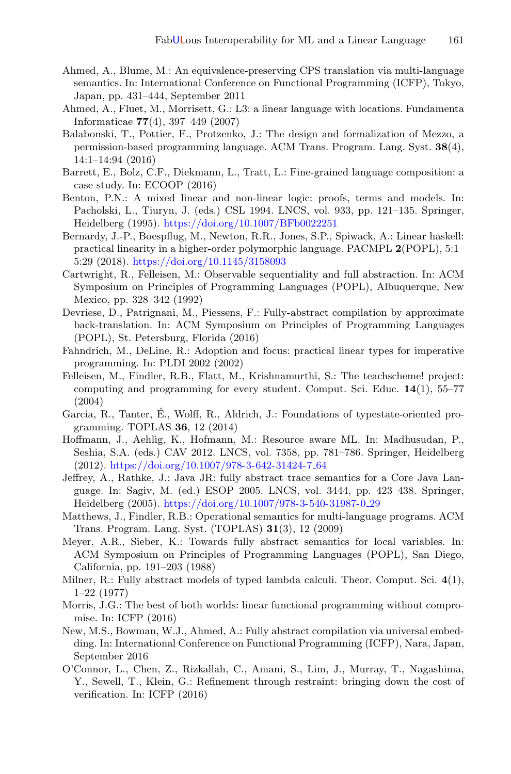- <span id="page-15-4"></span>Ahmed, A., Blume, M.: An equivalence-preserving CPS translation via multi-language semantics. In: International Conference on Functional Programming (ICFP), Tokyo, Japan, pp. 431–444, September 2011
- <span id="page-15-14"></span>Ahmed, A., Fluet, M., Morrisett, G.: L3: a linear language with locations. Fundamenta Informaticae **77**(4), 397–449 (2007)
- <span id="page-15-12"></span>Balabonski, T., Pottier, F., Protzenko, J.: The design and formalization of Mezzo, a permission-based programming language. ACM Trans. Program. Lang. Syst. **38**(4), 14:1–14:94 (2016)
- <span id="page-15-8"></span>Barrett, E., Bolz, C.F., Diekmann, L., Tratt, L.: Fine-grained language composition: a case study. In: ECOOP (2016)
- <span id="page-15-18"></span>Benton, P.N.: A mixed linear and non-linear logic: proofs, terms and models. In: Pacholski, L., Tiuryn, J. (eds.) CSL 1994. LNCS, vol. 933, pp. 121–135. Springer, Heidelberg (1995). <https://doi.org/10.1007/BFb0022251>
- <span id="page-15-17"></span>Bernardy, J.-P., Boespflug, M., Newton, R.R., Jones, S.P., Spiwack, A.: Linear haskell: practical linearity in a higher-order polymorphic language. PACMPL **2**(POPL), 5:1– 5:29 (2018). <https://doi.org/10.1145/3158093>
- <span id="page-15-2"></span>Cartwright, R., Felleisen, M.: Observable sequentiality and full abstraction. In: ACM Symposium on Principles of Programming Languages (POPL), Albuquerque, New Mexico, pp. 328–342 (1992)
- <span id="page-15-5"></span>Devriese, D., Patrignani, M., Piessens, F.: Fully-abstract compilation by approximate back-translation. In: ACM Symposium on Principles of Programming Languages (POPL), St. Petersburg, Florida (2016)
- <span id="page-15-15"></span>Fahndrich, M., DeLine, R.: Adoption and focus: practical linear types for imperative programming. In: PLDI 2002 (2002)
- <span id="page-15-10"></span>Felleisen, M., Findler, R.B., Flatt, M., Krishnamurthi, S.: The teachscheme! project: computing and programming for every student. Comput. Sci. Educ. **14**(1), 55–77 (2004)
- <span id="page-15-13"></span>Garcia, R., Tanter, É., Wolff, R., Aldrich, J.: Foundations of typestate-oriented programming. TOPLAS **36**, 12 (2014)
- <span id="page-15-11"></span>Hoffmann, J., Aehlig, K., Hofmann, M.: Resource aware ML. In: Madhusudan, P., Seshia, S.A. (eds.) CAV 2012. LNCS, vol. 7358, pp. 781–786. Springer, Heidelberg (2012). [https://doi.org/10.1007/978-3-642-31424-7](https://doi.org/10.1007/978-3-642-31424-7_64) 64
- <span id="page-15-3"></span>Jeffrey, A., Rathke, J.: Java JR: fully abstract trace semantics for a Core Java Language. In: Sagiv, M. (ed.) ESOP 2005. LNCS, vol. 3444, pp. 423–438. Springer, Heidelberg (2005). [https://doi.org/10.1007/978-3-540-31987-0](https://doi.org/10.1007/978-3-540-31987-0_29) 29
- <span id="page-15-9"></span>Matthews, J., Findler, R.B.: Operational semantics for multi-language programs. ACM Trans. Program. Lang. Syst. (TOPLAS) **31**(3), 12 (2009)
- <span id="page-15-0"></span>Meyer, A.R., Sieber, K.: Towards fully abstract semantics for local variables. In: ACM Symposium on Principles of Programming Languages (POPL), San Diego, California, pp. 191–203 (1988)
- <span id="page-15-1"></span>Milner, R.: Fully abstract models of typed lambda calculi. Theor. Comput. Sci. **4**(1), 1–22 (1977)
- <span id="page-15-16"></span>Morris, J.G.: The best of both worlds: linear functional programming without compromise. In: ICFP (2016)
- <span id="page-15-6"></span>New, M.S., Bowman, W.J., Ahmed, A.: Fully abstract compilation via universal embedding. In: International Conference on Functional Programming (ICFP), Nara, Japan, September 2016
- <span id="page-15-7"></span>O'Connor, L., Chen, Z., Rizkallah, C., Amani, S., Lim, J., Murray, T., Nagashima, Y., Sewell, T., Klein, G.: Refinement through restraint: bringing down the cost of verification. In: ICFP (2016)